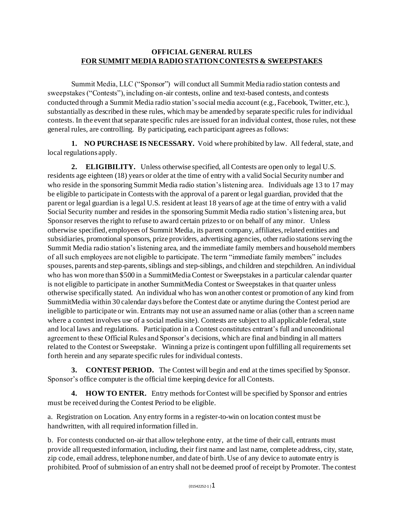## **OFFICIAL GENERAL RULES FOR SUMMIT MEDIA RADIO STATION CONTESTS & SWEEPSTAKES**

Summit Media, LLC ("Sponsor") will conduct all Summit Media radio station contests and sweepstakes ("Contests"), including on-air contests, online and text-based contests, and contests conducted through a Summit Media radio station's social media account (e.g., Facebook, Twitter, etc.), substantially as described in these rules, which may be amended by separate specific rules for individual contests. In the event that separate specific rules are issued for an individual contest, those rules, not these general rules, are controlling. By participating, each participant agrees as follows:

**1. NO PURCHASE IS NECESSARY.** Void where prohibited by law. All federal, state, and local regulations apply.

**2. ELIGIBILITY.** Unless otherwise specified, all Contests are open only to legal U.S. residents age eighteen (18) years or older at the time of entry with a valid Social Security number and who reside in the sponsoring Summit Media radio station's listening area. Individuals age 13 to 17 may be eligible to participate in Contests with the approval of a parent or legal guardian, provided that the parent or legal guardian is a legal U.S. resident at least 18 years of age at the time of entry with a valid Social Security number and resides in the sponsoring Summit Media radio station's listening area, but Sponsor reserves the right to refuse to award certain prizes to or on behalf of any minor. Unless otherwise specified, employees of Summit Media, its parent company, affiliates, related entities and subsidiaries, promotional sponsors, prize providers, advertising agencies, other radio stations serving the Summit Media radio station's listening area, and the immediate family members and household members of all such employees are not eligible to participate. The term "immediate family members" includes spouses, parents and step-parents, siblings and step-siblings, and children and stepchildren. An individual who has won more than \$500 in a SummitMedia Contest or Sweepstakes in a particular calendar quarter is not eligible to participate in another SummitMedia Contest or Sweepstakes in that quarter unless otherwise specifically stated. An individual who has won another contest or promotion of any kind from SummitMedia within 30 calendar days before the Contest date or anytime during the Contest period are ineligible to participate or win. Entrants may not use an assumed name or alias (other than a screen name where a contest involves use of a social media site). Contests are subject to all applicable federal, state and local laws and regulations. Participation in a Contest constitutes entrant's full and unconditional agreement to these Official Rules and Sponsor's decisions, which are final and binding in all matters related to the Contest or Sweepstake. Winning a prize is contingent upon fulfilling all requirements set forth herein and any separate specific rules for individual contests.

**3. CONTEST PERIOD.** The Contest will begin and end at the times specified by Sponsor. Sponsor's office computer is the official time keeping device for all Contests.

**4. HOW TO ENTER.** Entry methods for Contest will be specified by Sponsor and entries must be received during the Contest Period to be eligible.

a. Registration on Location. Any entry forms in a register-to-win on location contest must be handwritten, with all required information filled in.

b. For contests conducted on-air that allow telephone entry, at the time of their call, entrants must provide all requested information, including, their first name and last name, complete address, city, state, zip code, email address, telephone number, and date of birth. Use of any device to automate entry is prohibited. Proof of submission of an entry shall not be deemed proof of receipt by Promoter. The contest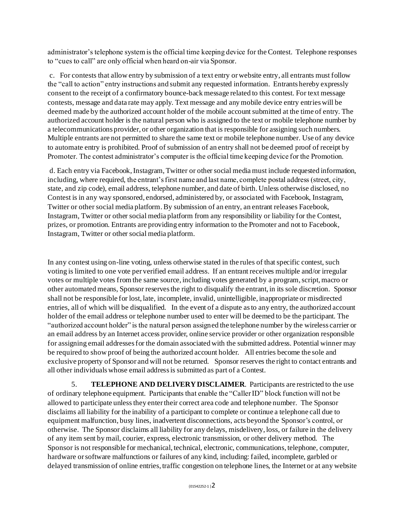administrator's telephone system is the official time keeping device for the Contest. Telephone responses to "cues to call" are only official when heard on-air via Sponsor.

c. For contests that allow entry by submission of a text entry or website entry, all entrants must follow the "call to action" entry instructions and submit any requested information. Entrants hereby expressly consent to the receipt of a confirmatory bounce-back message related to this contest. For text message contests, message and data rate may apply. Text message and any mobile device entry entries will be deemed made by the authorized account holder of the mobile account submitted at the time of entry. The authorized account holder is the natural person who is assigned to the text or mobile telephone number by a telecommunications provider, or other organization that is responsible for assigning such numbers. Multiple entrants are not permitted to share the same text or mobile telephone number. Use of any device to automate entry is prohibited. Proof of submission of an entry shall not be deemed proof of receipt by Promoter. The contest administrator's computer is the official time keeping device for the Promotion.

d. Each entry via Facebook, Instagram, Twitter or other social media must include requested information, including, where required, the entrant's first name and last name, complete postal address (street, city, state, and zip code), email address, telephone number, and date of birth. Unless otherwise disclosed, no Contest is in any way sponsored, endorsed, administered by, or associated with Facebook, Instagram, Twitter or other social media platform. By submission of an entry, an entrant releases Facebook, Instagram, Twitter or other social media platform from any responsibility or liability for the Contest, prizes, or promotion. Entrants are providing entry information to the Promoter and not to Facebook, Instagram, Twitter or other social media platform.

In any contest using on-line voting, unless otherwise stated in the rules of that specific contest, such voting is limited to one vote per verified email address. If an entrant receives multiple and/or irregular votes or multiple votes from the same source, including votes generated by a program, script, macro or other automated means, Sponsor reserves the right to disqualify the entrant, in its sole discretion. Sponsor shall not be responsible for lost, late, incomplete, invalid, unintelligible, inappropriate or misdirected entries, all of which will be disqualified. In the event of a dispute as to any entry, the authorized account holder of the email address or telephone number used to enter will be deemed to be the participant. The "authorized account holder" is the natural person assigned the telephone number by the wireless carrier or an email address by an Internet access provider, online service provider or other organization responsible for assigning email addresses for the domain associated with the submitted address. Potential winner may be required to show proof of being the authorized account holder. All entries become the sole and exclusive property of Sponsor and will not be returned. Sponsor reserves the right to contact entrants and all other individuals whose email address is submitted as part of a Contest.

5. **TELEPHONE AND DELIVERY DISCLAIMER**. Participants are restricted to the use of ordinary telephone equipment. Participants that enable the "Caller ID" block function will not be allowed to participate unless they enter their correct area code and telephone number. The Sponsor disclaims all liability for the inability of a participant to complete or continue a telephone call due to equipment malfunction, busy lines, inadvertent disconnections, acts beyond the Sponsor's control, or otherwise. The Sponsor disclaims all liability for any delays, misdelivery, loss, or failure in the delivery of any item sent by mail, courier, express, electronic transmission, or other delivery method. The Sponsor is not responsible for mechanical, technical, electronic, communications, telephone, computer, hardware or software malfunctions or failures of any kind, including: failed, incomplete, garbled or delayed transmission of online entries, traffic congestion on telephone lines, the Internet or at any website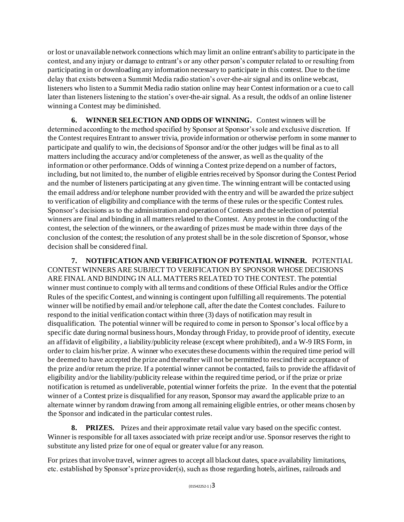or lost or unavailable network connections which may limit an online entrant's ability to participate in the contest, and any injury or damage to entrant's or any other person's computer related to or resulting from participating in or downloading any information necessary to participate in this contest. Due to the time delay that exists between a Summit Media radio station's over-the-air signal and its online webcast, listeners who listen to a Summit Media radio station online may hear Contest information or a cue to call later than listeners listening to the station's over-the-air signal. As a result, the odds of an online listener winning a Contest may be diminished.

**6. WINNER SELECTION AND ODDS OF WINNING.** Contest winners will be determined according to the method specified by Sponsor at Sponsor's sole and exclusive discretion. If the Contest requires Entrant to answer trivia, provide information or otherwise perform in some manner to participate and qualify to win, the decisions of Sponsor and/or the other judges will be final as to all matters including the accuracy and/or completeness of the answer, as well as the quality of the information or other performance. Odds of winning a Contest prize depend on a number of factors, including, but not limited to, the number of eligible entries received by Sponsor during the Contest Period and the number of listeners participating at any given time. The winning entrant will be contacted using the email address and/or telephone number provided with the entry and will be awarded the prize subject to verification of eligibility and compliance with the terms of these rules or the specific Contest rules. Sponsor's decisions as to the administration and operation of Contests and the selection of potential winners are final and binding in all matters related to the Contest. Any protest in the conducting of the contest, the selection of the winners, or the awarding of prizes must be made within three days of the conclusion of the contest; the resolution of any protest shall be in the sole discretion of Sponsor, whose decision shall be considered final.

**7. NOTIFICATION AND VERIFICATION OF POTENTIAL WINNER.** POTENTIAL CONTEST WINNERS ARE SUBJECT TO VERIFICATION BY SPONSOR WHOSE DECISIONS ARE FINAL AND BINDING IN ALL MATTERS RELATED TO THE CONTEST. The potential winner must continue to comply with all terms and conditions of these Official Rules and/or the Office Rules of the specific Contest, and winning is contingent upon fulfilling all requirements. The potential winner will be notified by email and/or telephone call, after the date the Contest concludes. Failure to respond to the initial verification contact within three (3) days of notification may result in disqualification. The potential winner will be required to come in person to Sponsor's local office by a specific date during normal business hours, Monday through Friday, to provide proof of identity, execute an affidavit of eligibility, a liability/publicity release (except where prohibited), and a W-9 IRS Form, in order to claim his/her prize. A winner who executes these documents within the required time period will be deemed to have accepted the prize and thereafter will not be permitted to rescind their acceptance of the prize and/or return the prize. If a potential winner cannot be contacted, fails to provide the affidavit of eligibility and/or the liability/publicity release within the required time period, or if the prize or prize notification is returned as undeliverable, potential winner forfeits the prize. In the event that the potential winner of a Contest prize is disqualified for any reason, Sponsor may award the applicable prize to an alternate winner by random drawing from among all remaining eligible entries, or other means chosen by the Sponsor and indicated in the particular contest rules.

**8. PRIZES.** Prizes and their approximate retail value vary based on the specific contest. Winner is responsible for all taxes associated with prize receipt and/or use. Sponsor reserves the right to substitute any listed prize for one of equal or greater value for any reason.

For prizes that involve travel, winner agrees to accept all blackout dates, space availability limitations, etc. established by Sponsor's prize provider(s), such as those regarding hotels, airlines, railroads and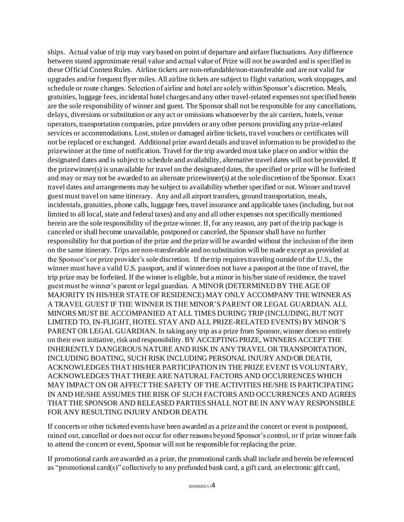ships. Actual value of trip may vary based on point of departure and airfare fluctuations. Any difference between stated approximate retail value and actual value of Prize will not be awarded and is specified in these Official Contest Rules. Airline tickets are non-refundable/non-transferable and are not valid for upgrades and/or frequent flyer miles. All airline tickets are subject to flight variation, work stoppages, and schedule or route changes. Selection of airline and hotel are solely within Sponsor's discretion. Meals, gratuities, luggage fees, incidental hotel charges and any other travel-related expenses not specified herein are the sole responsibility of winner and guest. The Sponsor shall not be responsible for any cancellations, delays, diversions or substitution or any act or omissions whatsoever by the air carriers, hotels, venue operators, transportation companies, prize providers or any other persons providing any prize-related services or accommodations. Lost, stolen or damaged airline tickets, travel vouchers or certificates will not be replaced or exchanged. Additional prize award details and travel information to be provided to the prizewinner at the time of notification. Travel for the trip awarded must take place on and/or within the designated dates and is subject to schedule and availability, alternative travel dates will not be provided. If the prizewinner(s) is unavailable for travel on the designated dates, the specified or prize will be forfeited and may or may not be awarded to an alternate prizewinner(s) at the sole discretion of the Sponsor. Exact travel dates and arrangements may be subject to availability whether specified or not. Winner and travel guest must travel on same itinerary. Any and all airport transfers, ground transportation, meals, incidentals, gratuities, phone calls, luggage fees, travel insurance and applicable taxes (including, but not limited to all local, state and federal taxes) and any and all other expenses not specifically mentioned herein are the sole responsibility of the prize winner. If, for any reason, any part of the trip package is canceled or shall become unavailable, postponed or canceled, the Sponsor shall have no further responsibility for that portion of the prize and the prize will be awarded without the inclusion of the item on the same itinerary. Trips are non-transferable and no substitution will be made except as provided at the Sponsor's or prize provider's sole discretion. If the trip requires traveling outside of the U.S., the winner must have a valid U.S. passport, and if winner does not have a passport at the time of travel, the trip prize may be forfeited. If the winner is eligible, but a minor in his/her state of residence, the travel guest must be winner's parent or legal guardian. A MINOR (DETERMINED BY THE AGE OF MAJORITY IN HIS/HER STATE OF RESIDENCE) MAY ONLY ACCOMPANY THE WINNER AS A TRAVEL GUEST IF THE WINNER IS THE MINOR'S PARENT OR LEGAL GUARDIAN. ALL MINORS MUST BE ACCOMPANIED AT ALL TIMES DURING TRIP (INCLUDING, BUT NOT LIMITED TO, IN-FLIGHT, HOTEL STAY AND ALL PRIZE-RELATED EVENTS) BY MINOR'S PARENT OR LEGAL GUARDIAN. In taking any trip as a prize from Sponsor, winner does so entirely on their own initiative, risk and responsibility. BY ACCEPTING PRIZE, WINNERS ACCEPT THE INHERENTLY DANGEROUS NATURE AND RISK IN ANY TRAVEL OR TRANSPORTATION, INCLUDING BOATING, SUCH RISK INCLUDING PERSONAL INJURY AND/OR DEATH, ACKNOWLEDGES THAT HIS/HER PARTICIPATION IN THE PRIZE EVENT IS VOLUNTARY, ACKNOWLEDGES THAT THERE ARE NATURAL FACTORS AND OCCURRENCES WHICH MAY IMPACT ON OR AFFECT THE SAFETY OF THE ACTIVITIES HE/SHE IS PARTICIPATING IN AND HE/SHE ASSUMES THE RISK OF SUCH FACTORS AND OCCURRENCES AND AGREES THAT THE SPONSOR AND RELEASED PARTIES SHALL NOT BE IN ANY WAY RESPONSIBLE FOR ANY RESULTING INJURY AND/OR DEATH.

If concerts or other ticketed events have been awarded as a prize and the concert or event is postponed, rained out, cancelled or does not occur for other reasons beyond Sponsor's control, or if prize winner fails to attend the concert or event, Sponsor will not be responsible for replacing the prize.

If promotional cards are awarded as a prize, the promotional cards shall include and herein be referenced as "promotional card(s)" collectively to any prefunded bank card, a gift card, an electronic gift card,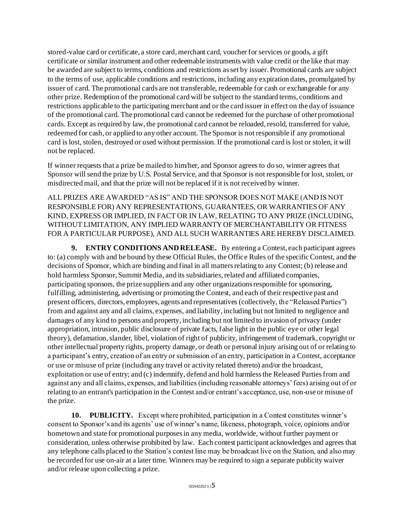stored-value card or certificate, a store card, merchant card, voucher for services or goods, a gift certificate or similar instrument and other redeemable instruments with value credit or the like that may be awarded are subject to terms, conditions and restrictions as set by issuer. Promotional cards are subject to the terms of use, applicable conditions and restrictions, including any expiration dates, promulgated by issuer of card. The promotional cards are not transferable, redeemable for cash or exchangeable for any other prize. Redemption of the promotional card will be subject to the standard terms, conditions and restrictions applicable to the participating merchant and or the card issuer in effect on the day of issuance of the promotional card. The promotional card cannot be redeemed for the purchase of other promotional cards. Except as required by law, the promotional card cannot be reloaded, resold, transferred for value, redeemed for cash, or applied to any other account. The Sponsor is not responsible if any promotional card is lost, stolen, destroyed or used without permission. If the promotional card is lost or stolen, it will not be replaced.

If winner requests that a prize be mailed to him/her, and Sponsor agrees to do so, winner agrees that Sponsor will send the prize by U.S. Postal Service, and that Sponsor is not responsible for lost, stolen, or misdirected mail, and that the prize will not be replaced if it is not received by winner.

ALL PRIZES ARE AWARDED "AS IS" AND THE SPONSOR DOES NOT MAKE (AND IS NOT RESPONSIBLE FOR) ANY REPRESENTATIONS, GUARANTEES, OR WARRANTIES OF ANY KIND, EXPRESS OR IMPLIED, IN FACT OR IN LAW, RELATING TO ANY PRIZE (INCLUDING, WITHOUT LIMITATION, ANY IMPLIED WARRANTY OF MERCHANTABILITY OR FITNESS FOR A PARTICULAR PURPOSE), AND ALL SUCH WARRANTIES ARE HEREBY DISCLAIMED.

**9. ENTRY CONDITIONS AND RELEASE.** By entering a Contest, each participant agrees to: (a) comply with and be bound by these Official Rules, the Office Rules of the specific Contest, and the decisions of Sponsor, which are binding and final in all matters relating to any Contest; (b) release and hold harmless Sponsor, Summit Media, and its subsidiaries, related and affiliated companies, participating sponsors, the prize suppliers and any other organizations responsible for sponsoring, fulfilling, administering, advertising or promoting the Contest, and each of their respective past and present officers, directors, employees, agents and representatives (collectively, the "Released Parties") from and against any and all claims, expenses, and liability, including but not limited to negligence and damages of any kind to persons and property, including but not limited to invasion of privacy (under appropriation, intrusion, public disclosure of private facts, false light in the public eye or other legal theory), defamation, slander, libel, violation of right of publicity, infringement of trademark, copyright or other intellectual property rights, property damage, or death or personal injury arising out of or relating to a participant's entry, creation of an entry or submission of an entry, participation in a Contest, acceptance or use or misuse of prize (including any travel or activity related thereto) and/or the broadcast, exploitation or use of entry; and (c) indemnify, defend and hold harmless the Released Parties from and against any and all claims, expenses, and liabilities (including reasonable attorneys' fees) arising out of or relating to an entrant's participation in the Contest and/or entrant's acceptance, use, non-use or misuse of the prize.

**10. PUBLICITY.** Except where prohibited, participation in a Contest constitutes winner's consent to Sponsor's and its agents' use of winner's name, likeness, photograph, voice, opinions and/or hometown and state for promotional purposes in any media, worldwide, without further payment or consideration, unless otherwise prohibited by law. Each contest participant acknowledges and agrees that any telephone calls placed to the Station's contest line may be broadcast live on the Station, and also may be recorded for use on-air at a later time. Winners may be required to sign a separate publicity waiver and/or release upon collecting a prize.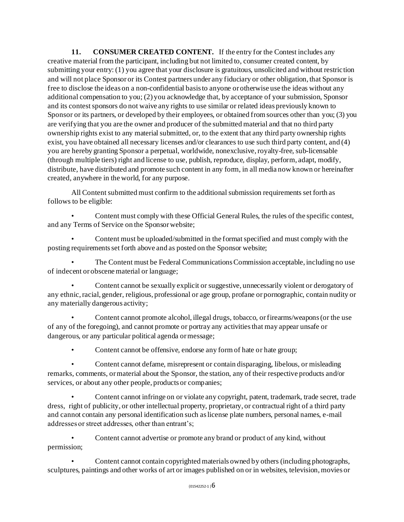**11. CONSUMER CREATED CONTENT.** If the entry for the Contest includes any creative material from the participant, including but not limited to, consumer created content, by submitting your entry: (1) you agree that your disclosure is gratuitous, unsolicited and without restriction and will not place Sponsor or its Contest partners under any fiduciary or other obligation, that Sponsor is free to disclose the ideas on a non-confidential basis to anyone or otherwise use the ideas without any additional compensation to you; (2) you acknowledge that, by acceptance of your submission, Sponsor and its contest sponsors do not waive any rights to use similar or related ideas previously known to Sponsor or its partners, or developed by their employees, or obtained from sources other than you; (3) you are verifying that you are the owner and producer of the submitted material and that no third party ownership rights exist to any material submitted, or, to the extent that any third party ownership rights exist, you have obtained all necessary licenses and/or clearances to use such third party content, and (4) you are hereby granting Sponsor a perpetual, worldwide, nonexclusive, royalty-free, sub-licensable (through multiple tiers) right and license to use, publish, reproduce, display, perform, adapt, modify, distribute, have distributed and promote such content in any form, in all media now known or hereinafter created, anywhere in the world, for any purpose.

All Content submitted must confirm to the additional submission requirements set forth as follows to be eligible:

• Content must comply with these Official General Rules, the rules of the specific contest, and any Terms of Service on the Sponsor website;

• Content must be uploaded/submitted in the format specified and must comply with the posting requirements set forth above and as posted on the Sponsor website;

• The Content must be Federal Communications Commission acceptable, including no use of indecent or obscene material or language;

• Content cannot be sexually explicit or suggestive, unnecessarily violent or derogatory of any ethnic, racial, gender, religious, professional or age group, profane or pornographic, contain nudity or any materially dangerous activity;

• Content cannot promote alcohol, illegal drugs, tobacco, or firearms/weapons (or the use of any of the foregoing), and cannot promote or portray any activities that may appear unsafe or dangerous, or any particular political agenda or message;

• Content cannot be offensive, endorse any form of hate or hate group;

• Content cannot defame, misrepresent or contain disparaging, libelous, or misleading remarks, comments, or material about the Sponsor, the station, any of their respective products and/or services, or about any other people, products or companies;

• Content cannot infringe on or violate any copyright, patent, trademark, trade secret, trade dress, right of publicity, or other intellectual property, proprietary, or contractual right of a third party and cannot contain any personal identification such as license plate numbers, personal names, e-mail addresses or street addresses, other than entrant's;

• Content cannot advertise or promote any brand or product of any kind, without permission;

• Content cannot contain copyrighted materials owned by others (including photographs, sculptures, paintings and other works of art or images published on or in websites, television, movies or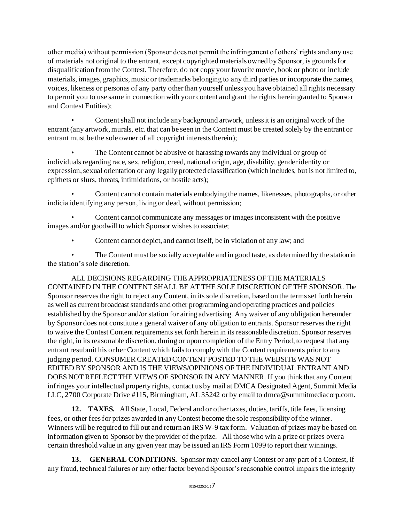other media) without permission (Sponsor does not permit the infringement of others' rights and any use of materials not original to the entrant, except copyrighted materials owned by Sponsor, is grounds for disqualification from the Contest. Therefore, do not copy your favorite movie, book or photo or include materials, images, graphics, music or trademarks belonging to any third parties or incorporate the names, voices, likeness or personas of any party other than yourself unless you have obtained all rights necessary to permit you to use same in connection with your content and grant the rights herein granted to Sponsor and Contest Entities);

• Content shall not include any background artwork, unless it is an original work of the entrant (any artwork, murals, etc. that can be seen in the Content must be created solely by the entrant or entrant must be the sole owner of all copyright interests therein);

The Content cannot be abusive or harassing towards any individual or group of individuals regarding race, sex, religion, creed, national origin, age, disability, gender identity or expression, sexual orientation or any legally protected classification (which includes, but is not limited to, epithets or slurs, threats, intimidations, or hostile acts);

• Content cannot contain materials embodying the names, likenesses, photographs, or other indicia identifying any person, living or dead, without permission;

• Content cannot communicate any messages or images inconsistent with the positive images and/or goodwill to which Sponsor wishes to associate;

• Content cannot depict, and cannot itself, be in violation of any law; and

The Content must be socially acceptable and in good taste, as determined by the station in the station's sole discretion.

ALL DECISIONS REGARDING THE APPROPRIATENESS OF THE MATERIALS CONTAINED IN THE CONTENT SHALL BE AT THE SOLE DISCRETION OF THE SPONSOR. The Sponsor reserves the right to reject any Content, in its sole discretion, based on the terms set forth herein as well as current broadcast standards and other programming and operating practices and policies established by the Sponsor and/or station for airing advertising. Any waiver of any obligation hereunder by Sponsor does not constitute a general waiver of any obligation to entrants. Sponsor reserves the right to waive the Contest Content requirements set forth herein in its reasonable discretion. Sponsor reserves the right, in its reasonable discretion, during or upon completion of the Entry Period, to request that any entrant resubmit his or her Content which fails to comply with the Content requirements prior to any judging period. CONSUMER CREATED CONTENT POSTED TO THE WEBSITE WAS NOT EDITED BY SPONSOR AND IS THE VIEWS/OPINIONS OF THE INDIVIDUAL ENTRANT AND DOES NOT REFLECT THE VIEWS OF SPONSOR IN ANY MANNER. If you think that any Content infringes your intellectual property rights, contact us by mail at DMCA Designated Agent, Summit Media LLC, 2700 Corporate Drive #115, Birmingham, AL 35242 or by email to dmca@summitmediacorp.com.

**12. TAXES.** All State, Local, Federal and or other taxes, duties, tariffs, title fees, licensing fees, or other fees for prizes awarded in any Contest become the sole responsibility of the winner. Winners will be required to fill out and return an IRS W-9 tax form. Valuation of prizes may be based on information given to Sponsor by the provider of the prize. All those who win a prize or prizes over a certain threshold value in any given year may be issued an IRS Form 1099 to report their winnings.

**13. GENERAL CONDITIONS.** Sponsor may cancel any Contest or any part of a Contest, if any fraud, technical failures or any other factor beyond Sponsor's reasonable control impairs the integrity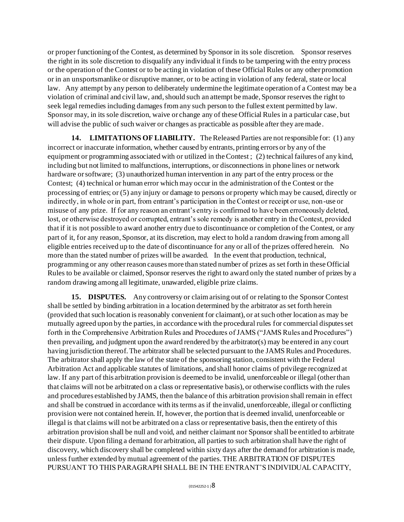or proper functioning of the Contest, as determined by Sponsor in its sole discretion. Sponsor reserves the right in its sole discretion to disqualify any individual it finds to be tampering with the entry process or the operation of the Contest or to be acting in violation of these Official Rules or any other promotion or in an unsportsmanlike or disruptive manner, or to be acting in violation of any federal, state or local law. Any attempt by any person to deliberately undermine the legitimate operation of a Contest may be a violation of criminal and civil law, and, should such an attempt be made, Sponsor reserves the right to seek legal remedies including damages from any such person to the fullest extent permitted by law. Sponsor may, in its sole discretion, waive or change any of these Official Rules in a particular case, but will advise the public of such waiver or changes as practicable as possible after they are made.

**14. LIMITATIONS OF LIABILITY.** The Released Parties are not responsible for: (1) any incorrect or inaccurate information, whether caused by entrants, printing errors or by any of the equipment or programming associated with or utilized in the Contest ; (2) technical failures of any kind, including but not limited to malfunctions, interruptions, or disconnections in phone lines or network hardware or software; (3) unauthorized human intervention in any part of the entry process or the Contest; (4) technical or human error which may occur in the administration of the Contest or the processing of entries; or (5) any injury or damage to persons or property which may be caused, directly or indirectly, in whole or in part, from entrant's participation in the Contest or receipt or use, non-use or misuse of any prize. If for any reason an entrant's entry is confirmed to have been erroneously deleted, lost, or otherwise destroyed or corrupted, entrant's sole remedy is another entry in the Contest, provided that if it is not possible to award another entry due to discontinuance or completion of the Contest, or any part of it, for any reason, Sponsor, at its discretion, may elect to hold a random drawing from among all eligible entries received up to the date of discontinuance for any or all of the prizes offered herein. No more than the stated number of prizes will be awarded. In the event that production, technical, programming or any other reason causes more than stated number of prizes as set forth in these Official Rules to be available or claimed, Sponsor reserves the right to award only the stated number of prizes by a random drawing among all legitimate, unawarded, eligible prize claims.

**15. DISPUTES.** Any controversy or claim arising out of or relating to the Sponsor Contest shall be settled by binding arbitration in a location determined by the arbitrator as set forth herein (provided that such location is reasonably convenient for claimant), or at such other location as may be mutually agreed upon by the parties, in accordance with the procedural rules for commercial disputes set forth in the Comprehensive Arbitration Rules and Procedures of JAMS ("JAMS Rules and Procedures") then prevailing, and judgment upon the award rendered by the arbitrator(s) may be entered in any court having jurisdiction thereof. The arbitrator shall be selected pursuant to the JAMS Rules and Procedures. The arbitrator shall apply the law of the state of the sponsoring station, consistent with the Federal Arbitration Act and applicable statutes of limitations, and shall honor claims of privilege recognized at law. If any part of this arbitration provision is deemed to be invalid, unenforceable or illegal (other than that claims will not be arbitrated on a class or representative basis), or otherwise conflicts with the rules and procedures established by JAMS, then the balance of this arbitration provision shall remain in effect and shall be construed in accordance with its terms as if the invalid, unenforceable, illegal or conflicting provision were not contained herein. If, however, the portion that is deemed invalid, unenforceable or illegal is that claims will not be arbitrated on a class or representative basis, then the entirety of this arbitration provision shall be null and void, and neither claimant nor Sponsor shall be entitled to arbitrate their dispute. Upon filing a demand for arbitration, all parties to such arbitration shall have the right of discovery, which discovery shall be completed within sixty days after the demand for arbitration is made, unless further extended by mutual agreement of the parties. THE ARBITRATION OF DISPUTES PURSUANT TO THIS PARAGRAPH SHALL BE IN THE ENTRANT'S INDIVIDUAL CAPACITY,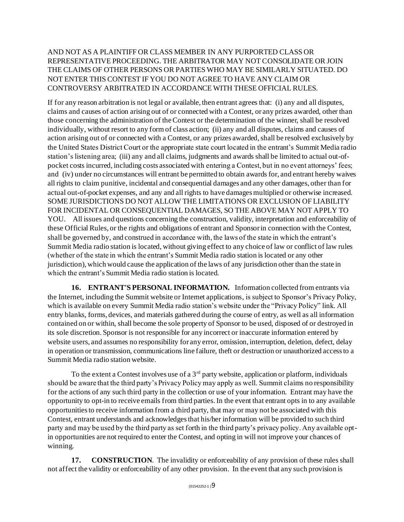## AND NOT AS A PLAINTIFF OR CLASS MEMBER IN ANY PURPORTED CLASS OR REPRESENTATIVE PROCEEDING. THE ARBITRATOR MAY NOT CONSOLIDATE OR JOIN THE CLAIMS OF OTHER PERSONS OR PARTIES WHO MAY BE SIMILARLY SITUATED. DO NOT ENTER THIS CONTEST IF YOU DO NOT AGREE TO HAVE ANY CLAIM OR CONTROVERSY ARBITRATED IN ACCORDANCE WITH THESE OFFICIAL RULES.

If for any reason arbitration is not legal or available, then entrant agrees that: (i) any and all disputes, claims and causes of action arising out of or connected with a Contest, or any prizes awarded, other than those concerning the administration of the Contest or the determination of the winner, shall be resolved individually, without resort to any form of class action; (ii) any and all disputes, claims and causes of action arising out of or connected with a Contest, or any prizes awarded, shall be resolved exclusively by the United States District Court or the appropriate state court located in the entrant's Summit Media radio station's listening area; (iii) any and all claims, judgments and awards shall be limited to actual out-ofpocket costs incurred, including costs associated with entering a Contest, but in no event attorneys' fees; and (iv) under no circumstances will entrant be permitted to obtain awards for, and entrant hereby waives all rights to claim punitive, incidental and consequential damages and any other damages, other than for actual out-of-pocket expenses, and any and all rights to have damages multiplied or otherwise increased. SOME JURISDICTIONS DO NOT ALLOW THE LIMITATIONS OR EXCLUSION OF LIABILITY FOR INCIDENTAL OR CONSEQUENTIAL DAMAGES, SO THE ABOVE MAY NOT APPLY TO YOU. All issues and questions concerning the construction, validity, interpretation and enforceability of these Official Rules, or the rights and obligations of entrant and Sponsor in connection with the Contest, shall be governed by, and construed in accordance with, the laws of the state in which the entrant's Summit Media radio station is located, without giving effect to any choice of law or conflict of law rules (whether of the state in which the entrant's Summit Media radio station is located or any other jurisdiction), which would cause the application of the laws of any jurisdiction other than the state in which the entrant's Summit Media radio station is located.

**16. ENTRANT'S PERSONAL INFORMATION.** Information collected from entrants via the Internet, including the Summit website or Internet applications, is subject to Sponsor's Privacy Policy, which is available on every Summit Media radio station's website under the "Privacy Policy" link. All entry blanks, forms, devices, and materials gathered during the course of entry, as well as all information contained on or within, shall become the sole property of Sponsor to be used, disposed of or destroyed in its sole discretion. Sponsor is not responsible for any incorrect or inaccurate information entered by website users, and assumes no responsibility for any error, omission, interruption, deletion, defect, delay in operation or transmission, communications line failure, theft or destruction or unauthorized access to a Summit Media radio station website.

To the extent a Contest involves use of a  $3<sup>rd</sup>$  party website, application or platform, individuals should be aware that the third party's Privacy Policy may apply as well. Summit claims no responsibility for the actions of any such third party in the collection or use of your information. Entrant may have the opportunity to opt-in to receive emails from third parties. In the event that entrant opts in to any available opportunities to receive information from a third party, that may or may not be associated with this Contest, entrant understands and acknowledges that his/her information will be provided to such third party and may be used by the third party as set forth in the third party's privacy policy. Any available optin opportunities are not required to enter the Contest, and opting in will not improve your chances of winning.

**17. CONSTRUCTION**. The invalidity or enforceability of any provision of these rules shall not affect the validity or enforceability of any other provision. In the event that any such provision is